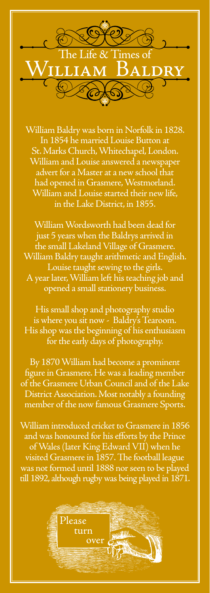

William Baldry was born in Norfolk in 1828. In 1854 he married Louise Button at St. Marks Church, Whitechapel, London. William and Louise answered a newspaper advert for a Master at a new school that had opened in Grasmere, Westmorland. William and Louise started their new life, in the Lake District, in 1855.

William Wordsworth had been dead for just 5 years when the Baldrys arrived in the small Lakeland Village of Grasmere. William Baldry taught arithmetic and English. Louise taught sewing to the girls. A year later, William left his teaching job and opened a small stationery business.

His small shop and photography studio is where you sit now - Baldry's Tearoom. His shop was the beginning of his enthusiasm for the early days of photography.

By 1870 William had become a prominent figure in Grasmere. He was a leading member of the Grasmere Urban Council and of the Lake District Association. Most notably a founding member of the now famous Grasmere Sports.

William introduced cricket to Grasmere in 1856 and was honoured for his efforts by the Prince of Wales (later King Edward VII) when he visited Grasmere in 1857. The football league was not formed until 1888 nor seen to be played till 1892, although rugby was being played in 1871.